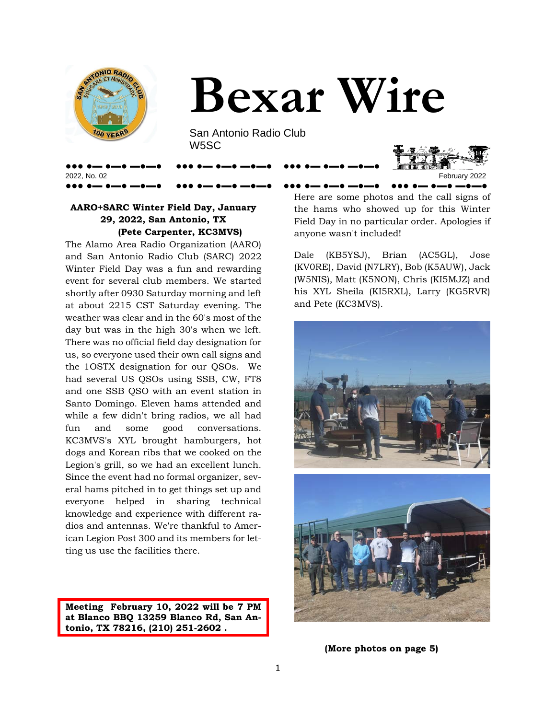



San Antonio Radio Club W5SC

●●● ●▬ ●▬● ▬●▬● ●●● ●▬ ●▬● ▬●▬● ●●● ●▬ ●▬● ▬●▬●



### **AARO+SARC Winter Field Day, January 29, 2022, San Antonio, TX (Pete Carpenter, KC3MVS)**

The Alamo Area Radio Organization (AARO) and San Antonio Radio Club (SARC) 2022 Winter Field Day was a fun and rewarding event for several club members. We started shortly after 0930 Saturday morning and left at about 2215 CST Saturday evening. The weather was clear and in the 60's most of the day but was in the high 30's when we left. There was no official field day designation for us, so everyone used their own call signs and the 1OSTX designation for our QSOs. We had several US QSOs using SSB, CW, FT8 and one SSB QSO with an event station in Santo Domingo. Eleven hams attended and while a few didn't bring radios, we all had fun and some good conversations. KC3MVS's XYL brought hamburgers, hot dogs and Korean ribs that we cooked on the Legion's grill, so we had an excellent lunch. Since the event had no formal organizer, several hams pitched in to get things set up and everyone helped in sharing technical knowledge and experience with different radios and antennas. We're thankful to American Legion Post 300 and its members for letting us use the facilities there.

**Meeting February 10, 2022 will be 7 PM at Blanco BBQ 13259 Blanco Rd, San Antonio, TX 78216, (210) 251-2602 .** 

●●● ●▬ ●▬● ▬●▬● ●●● ●▬ ●▬● ▬●▬● ●●● ●▬ ●▬● ▬●▬● ●●● ●▬ ●▬● ▬●▬● Here are some photos and the call signs of the hams who showed up for this Winter Field Day in no particular order. Apologies if anyone wasn't included!

> Dale (KB5YSJ), Brian (AC5GL), Jose (KV0RE), David (N7LRY), Bob (K5AUW), Jack (W5NIS), Matt (K5NON), Chris (KI5MJZ) and his XYL Sheila (KI5RXL), Larry (KG5RVR) and Pete (KC3MVS).



**(More photos on page 5)**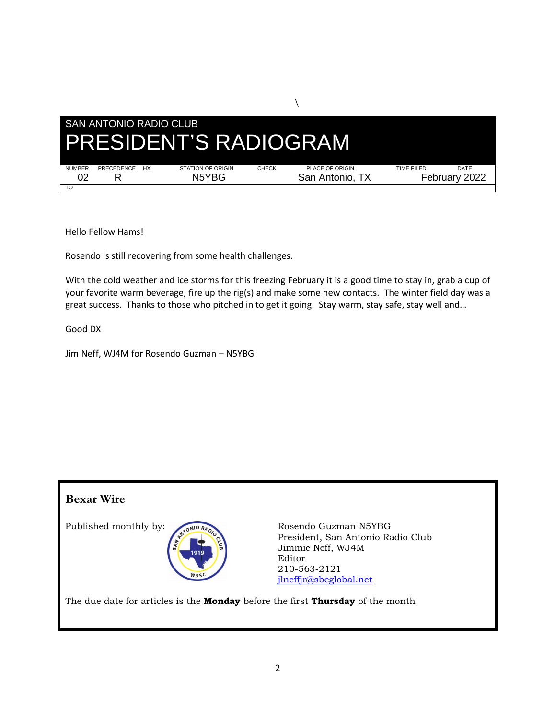

Hello Fellow Hams!

Rosendo is still recovering from some health challenges.

With the cold weather and ice storms for this freezing February it is a good time to stay in, grab a cup of your favorite warm beverage, fire up the rig(s) and make some new contacts. The winter field day was a great success. Thanks to those who pitched in to get it going. Stay warm, stay safe, stay well and…

Good DX

Jim Neff, WJ4M for Rosendo Guzman – N5YBG

### **Bexar Wire**



Published monthly by: CONIO RAND Rosendo Guzman N5YBG President, San Antonio Radio Club Jimmie Neff, WJ4M Editor 210-563-2121 [jlneffjr@sbcglobal.net](mailto:jlneffjr@sbcglobal.net)

The due date for articles is the **Monday** before the first **Thursday** of the month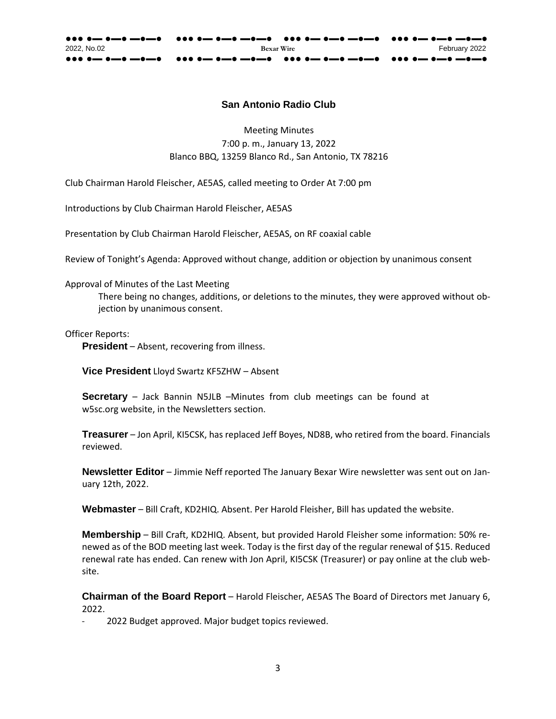### **San Antonio Radio Club**

Meeting Minutes 7:00 p. m., January 13, 2022 Blanco BBQ, 13259 Blanco Rd., San Antonio, TX 78216

Club Chairman Harold Fleischer, AE5AS, called meeting to Order At 7:00 pm

Introductions by Club Chairman Harold Fleischer, AE5AS

Presentation by Club Chairman Harold Fleischer, AE5AS, on RF coaxial cable

Review of Tonight's Agenda: Approved without change, addition or objection by unanimous consent

Approval of Minutes of the Last Meeting

There being no changes, additions, or deletions to the minutes, they were approved without objection by unanimous consent.

Officer Reports:

**President** – Absent, recovering from illness.

**Vice President** Lloyd Swartz KF5ZHW – Absent

**Secretary** – Jack Bannin N5JLB –Minutes from club meetings can be found a[t](http://w5sc.org/) [w5sc.org](http://w5sc.org/) website, in the Newsletters section.

**Treasurer** – Jon April, KI5CSK, has replaced Jeff Boyes, ND8B, who retired from the board. Financials reviewed.

**Newsletter Editor** – Jimmie Neff reported The January Bexar Wire newsletter was sent out on January 12th, 2022.

**Webmaster** – Bill Craft, KD2HIQ. Absent. Per Harold Fleisher, Bill has updated the website.

**Membership** – Bill Craft, KD2HIQ. Absent, but provided Harold Fleisher some information: 50% renewed as of the BOD meeting last week. Today is the first day of the regular renewal of \$15. Reduced renewal rate has ended. Can renew with Jon April, KI5CSK (Treasurer) or pay online at the club website.

**Chairman of the Board Report** – Harold Fleischer, AE5AS The Board of Directors met January 6, 2022.

2022 Budget approved. Major budget topics reviewed.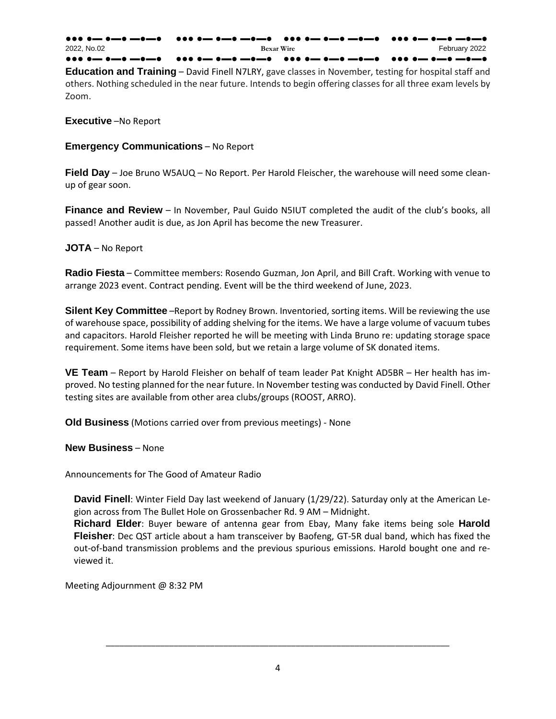| 2022. No.02 | <b>Bexar Wire</b> | February 2022 |
|-------------|-------------------|---------------|
|             |                   |               |

**Education and Training** – David Finell N7LRY, gave classes in November, testing for hospital staff and others. Nothing scheduled in the near future. Intends to begin offering classes for all three exam levels by Zoom.

**Executive** –No Report

**Emergency Communications** – No Report

**Field Day** – Joe Bruno W5AUQ – No Report. Per Harold Fleischer, the warehouse will need some cleanup of gear soon.

**Finance and Review** – In November, Paul Guido N5IUT completed the audit of the club's books, all passed! Another audit is due, as Jon April has become the new Treasurer.

### **JOTA** – No Report

**Radio Fiesta** – Committee members: Rosendo Guzman, Jon April, and Bill Craft. Working with venue to arrange 2023 event. Contract pending. Event will be the third weekend of June, 2023.

**Silent Key Committee** –Report by Rodney Brown. Inventoried, sorting items. Will be reviewing the use of warehouse space, possibility of adding shelving for the items. We have a large volume of vacuum tubes and capacitors. Harold Fleisher reported he will be meeting with Linda Bruno re: updating storage space requirement. Some items have been sold, but we retain a large volume of SK donated items.

**VE Team** – Report by Harold Fleisher on behalf of team leader Pat Knight AD5BR – Her health has improved. No testing planned for the near future. In November testing was conducted by David Finell. Other testing sites are available from other area clubs/groups (ROOST, ARRO).

**Old Business** (Motions carried over from previous meetings) - None

**New Business** – None

Announcements for The Good of Amateur Radio

**David Finell**: Winter Field Day last weekend of January (1/29/22). Saturday only at the American Legion across from The Bullet Hole on Grossenbacher Rd. 9 AM – Midnight.

**Richard Elder**: Buyer beware of antenna gear from Ebay, Many fake items being sole **Harold Fleisher**: Dec QST article about a ham transceiver by Baofeng, GT-5R dual band, which has fixed the out-of-band transmission problems and the previous spurious emissions. Harold bought one and reviewed it.

Meeting Adjournment @ 8:32 PM

\_\_\_\_\_\_\_\_\_\_\_\_\_\_\_\_\_\_\_\_\_\_\_\_\_\_\_\_\_\_\_\_\_\_\_\_\_\_\_\_\_\_\_\_\_\_\_\_\_\_\_\_\_\_\_\_\_\_\_\_\_\_\_\_\_\_\_\_\_\_\_\_\_\_\_\_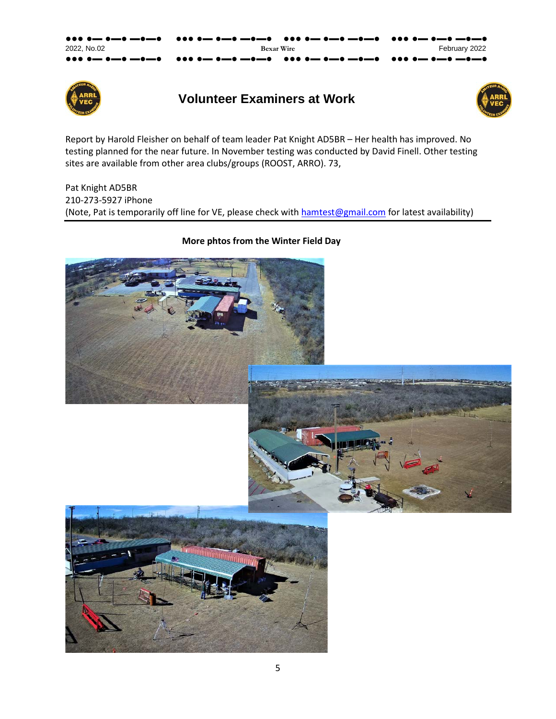| 2022. No.02 | <b>Bexar Wire</b> | February 2022 |
|-------------|-------------------|---------------|
|             |                   |               |



## **Volunteer Examiners at Work**



Report by Harold Fleisher on behalf of team leader Pat Knight AD5BR – Her health has improved. No testing planned for the near future. In November testing was conducted by David Finell. Other testing sites are available from other area clubs/groups (ROOST, ARRO). 73,

Pat Knight AD5BR 210-273-5927 iPhone (Note, Pat is temporarily off line for VE, please check with [hamtest@gmail.com](mailto:hamtest@gmail.com) for latest availability)

### **More phtos from the Winter Field Day**

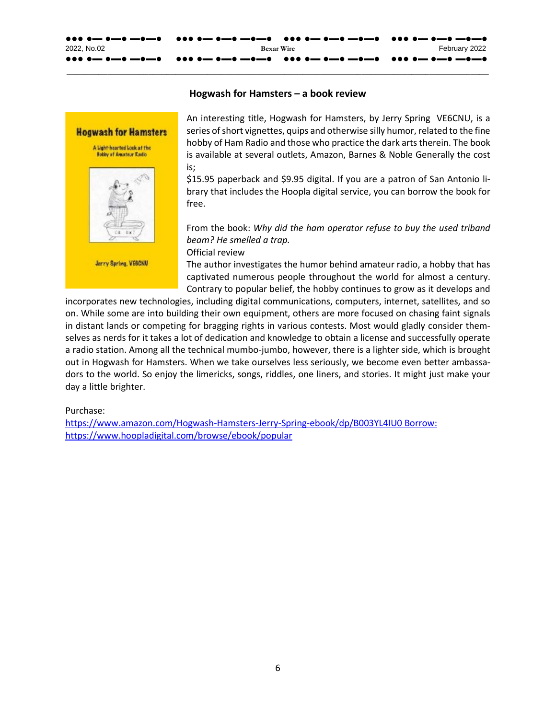

#### **Hogwash for Hamsters – a book review**

**\_\_\_\_\_\_\_\_\_\_\_\_\_\_\_\_\_\_\_\_\_\_\_\_\_\_\_\_\_\_\_\_\_\_\_\_\_\_\_\_\_\_\_\_\_\_\_\_\_\_\_\_\_\_\_\_\_\_\_\_\_\_\_\_\_\_\_\_\_\_\_\_\_\_\_\_\_\_\_\_\_\_\_\_\_\_\_\_\_\_\_\_\_**



Jerry Spring, VEBCNU

An interesting title, Hogwash for Hamsters, by Jerry Spring VE6CNU, is a series of short vignettes, quips and otherwise silly humor, related to the fine hobby of Ham Radio and those who practice the dark arts therein. The book is available at several outlets, Amazon, Barnes & Noble Generally the cost is;

\$15.95 paperback and \$9.95 digital. If you are a patron of San Antonio library that includes the Hoopla digital service, you can borrow the book for free.

From the book: *Why did the ham operator refuse to buy the used triband beam? He smelled a trap.*

Official review

The author investigates the humor behind amateur radio, a hobby that has captivated numerous people throughout the world for almost a century. Contrary to popular belief, the hobby continues to grow as it develops and

incorporates new technologies, including digital communications, computers, internet, satellites, and so on. While some are into building their own equipment, others are more focused on chasing faint signals in distant lands or competing for bragging rights in various contests. Most would gladly consider themselves as nerds for it takes a lot of dedication and knowledge to obtain a license and successfully operate a radio station. Among all the technical mumbo-jumbo, however, there is a lighter side, which is brought out in Hogwash for Hamsters. When we take ourselves less seriously, we become even better ambassadors to the world. So enjoy the limericks, songs, riddles, one liners, and stories. It might just make your day a little brighter.

#### Purchase:

[https://www.amazon.com/Hogwash-Hamsters-Jerry-Spring-ebook/dp/B003YL4IU0 Borrow:](https://www.amazon.com/Hogwash-Hamsters-Jerry-Spring-ebook/dp/B003YL4IU0%20Borrow:) <https://www.hoopladigital.com/browse/ebook/popular>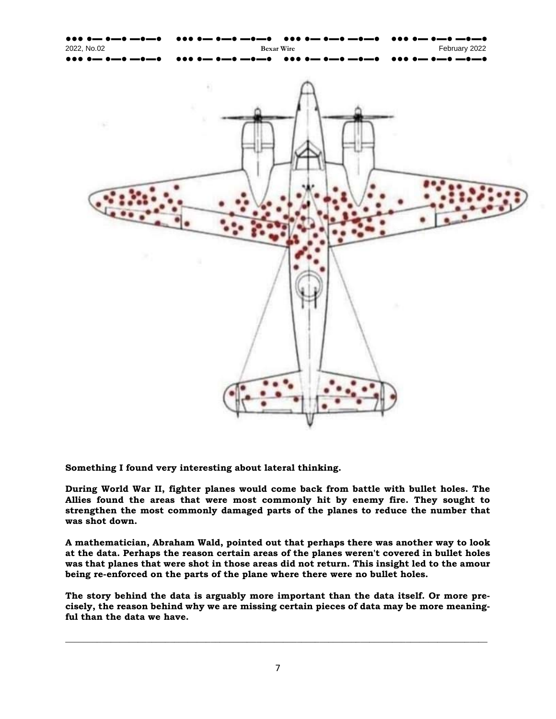

**Something I found very interesting about lateral thinking.**

**During World War II, fighter planes would come back from battle with bullet holes. The Allies found the areas that were most commonly hit by enemy fire. They sought to strengthen the most commonly damaged parts of the planes to reduce the number that was shot down.**

**A mathematician, Abraham Wald, pointed out that perhaps there was another way to look at the data. Perhaps the reason certain areas of the planes weren't covered in bullet holes was that planes that were shot in those areas did not return. This insight led to the amour being re-enforced on the parts of the plane where there were no bullet holes.**

**The story behind the data is arguably more important than the data itself. Or more precisely, the reason behind why we are missing certain pieces of data may be more meaningful than the data we have.** 

**\_\_\_\_\_\_\_\_\_\_\_\_\_\_\_\_\_\_\_\_\_\_\_\_\_\_\_\_\_\_\_\_\_\_\_\_\_\_\_\_\_\_\_\_\_\_\_\_\_\_\_\_\_\_\_\_\_\_\_\_\_\_\_\_\_\_\_\_\_\_\_\_\_\_\_\_\_\_\_\_\_\_\_\_\_\_\_\_\_\_\_\_\_**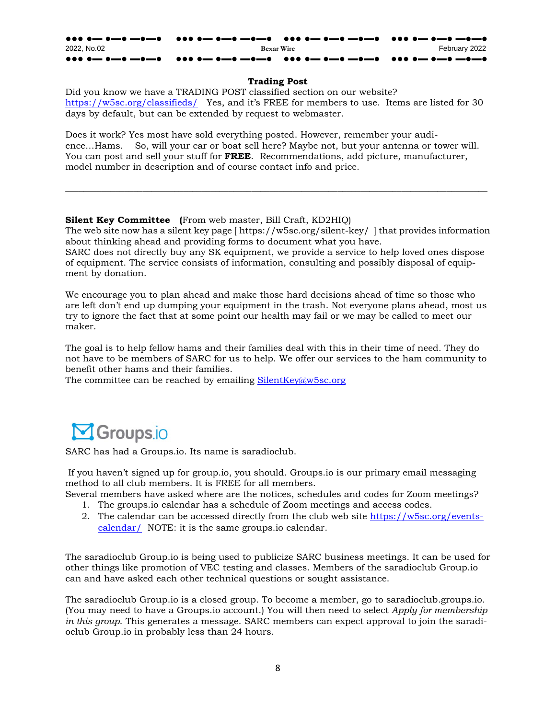#### ●●● ●▬ ●▬● ▬●▬● ●●● ●▬ ●▬● ▬●▬● ●●● ●▬ ●▬● ▬●▬● ●●● ●▬ ●▬● ▬●▬● 2022, No.02 **Bexar Wire** February 2022 ●●● ●▬ ●▬● ▬●▬● ●●● ●▬ ●▬● ▬●▬● ●●● ●▬ ●▬● ▬●▬● ●●● ●▬ ●▬● ▬●▬●

#### **Trading Post**

Did you know we have a TRADING POST classified section on our website? <https://w5sc.org/classifieds/> Yes, and it's FREE for members to use. Items are listed for 30 days by default, but can be extended by request to webmaster.

Does it work? Yes most have sold everything posted. However, remember your audience…Hams. So, will your car or boat sell here? Maybe not, but your antenna or tower will. You can post and sell your stuff for **FREE**. Recommendations, add picture, manufacturer, model number in description and of course contact info and price.

**\_\_\_\_\_\_\_\_\_\_\_\_\_\_\_\_\_\_\_\_\_\_\_\_\_\_\_\_\_\_\_\_\_\_\_\_\_\_\_\_\_\_\_\_\_\_\_\_\_\_\_\_\_\_\_\_\_\_\_\_\_\_\_\_\_\_\_\_\_\_\_\_\_\_\_\_\_\_\_\_\_\_\_\_\_\_\_\_\_\_\_\_\_**

#### **Silent Key Committee (**From web master, Bill Craft, KD2HIQ)

The web site now has a silent key page [ https://w5sc.org/silent-key/ ] that provides information about thinking ahead and providing forms to document what you have. SARC does not directly buy any SK equipment, we provide a service to help loved ones dispose

of equipment. The service consists of information, consulting and possibly disposal of equipment by donation.

We encourage you to plan ahead and make those hard decisions ahead of time so those who are left don't end up dumping your equipment in the trash. Not everyone plans ahead, most us try to ignore the fact that at some point our health may fail or we may be called to meet our maker.

The goal is to help fellow hams and their families deal with this in their time of need. They do not have to be members of SARC for us to help. We offer our services to the ham community to benefit other hams and their families.

The committee can be reached by emailing [SilentKey@w5sc.org](mailto:SilentKey@w5sc.org)



SARC has had a Groups.io. Its name is saradioclub.

If you haven't signed up for group.io, you should. Groups.io is our primary email messaging method to all club members. It is FREE for all members.

- Several members have asked where are the notices, schedules and codes for Zoom meetings? 1. The groups.io calendar has a schedule of Zoom meetings and access codes.
	- 2. The calendar can be accessed directly from the club web site [https://w5sc.org/events-](https://w5sc.org/events-calendar/)
	- [calendar/](https://w5sc.org/events-calendar/) NOTE: it is the same groups.io calendar.

The saradioclub Group.io is being used to publicize SARC business meetings. It can be used for other things like promotion of VEC testing and classes. Members of the saradioclub Group.io can and have asked each other technical questions or sought assistance.

The saradioclub Group.io is a closed group. To become a member, go to saradioclub.groups.io. (You may need to have a Groups.io account.) You will then need to select *Apply for membership in this group*. This generates a message. SARC members can expect approval to join the saradioclub Group.io in probably less than 24 hours.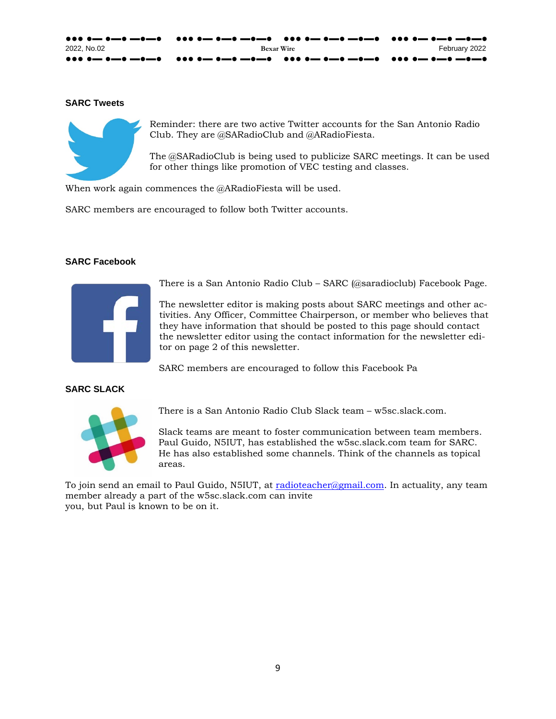| 2022. No.02 | <b>Bexar Wire</b> | February 2022 |
|-------------|-------------------|---------------|
|             |                   |               |

#### **SARC Tweets**



Reminder: there are two active Twitter accounts for the San Antonio Radio Club. They are @SARadioClub and @ARadioFiesta.

The @SARadioClub is being used to publicize SARC meetings. It can be used for other things like promotion of VEC testing and classes.

When work again commences the @ARadioFiesta will be used.

SARC members are encouraged to follow both Twitter accounts.

#### **SARC Facebook**



There is a San Antonio Radio Club – SARC (@saradioclub) Facebook Page.

The newsletter editor is making posts about SARC meetings and other activities. Any Officer, Committee Chairperson, or member who believes that they have information that should be posted to this page should contact the newsletter editor using the contact information for the newsletter editor on page 2 of this newsletter.

SARC members are encouraged to follow this Facebook Pa

### **SARC SLACK**



There is a San Antonio Radio Club Slack team – w5sc.slack.com.

Slack teams are meant to foster communication between team members. Paul Guido, N5IUT, has established the w5sc.slack.com team for SARC. He has also established some channels. Think of the channels as topical areas.

To join send an email to Paul Guido, N5IUT, at [radioteacher@gmail.com.](mailto:radioteacher@gmail.com) In actuality, any team member already a part of the w5sc.slack.com can invite you, but Paul is known to be on it.